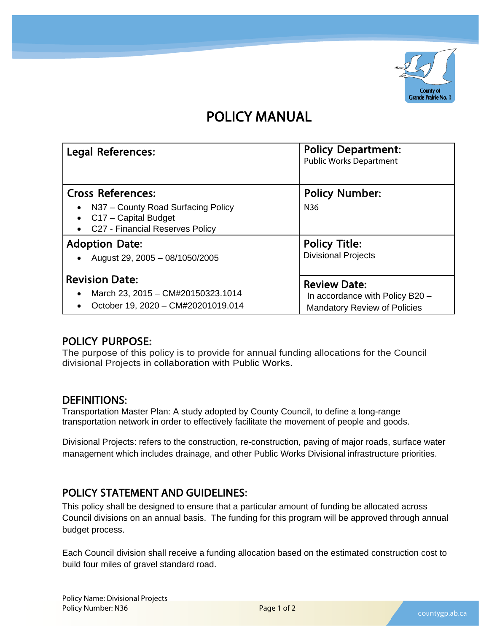

# POLICY MANUAL

| <b>Legal References:</b>                                                                          | <b>Policy Department:</b><br><b>Public Works Department</b> |
|---------------------------------------------------------------------------------------------------|-------------------------------------------------------------|
| <b>Cross References:</b>                                                                          | <b>Policy Number:</b>                                       |
| N37 - County Road Surfacing Policy<br>• $C17 - Capital Budget$<br>C27 - Financial Reserves Policy | N36                                                         |
| <b>Adoption Date:</b>                                                                             | <b>Policy Title:</b>                                        |
| August 29, 2005 - 08/1050/2005                                                                    | <b>Divisional Projects</b>                                  |
| <b>Revision Date:</b>                                                                             | <b>Review Date:</b>                                         |
| March 23, 2015 - CM#20150323.1014                                                                 | In accordance with Policy B20 -                             |
| October 19, 2020 - CM#20201019.014                                                                | <b>Mandatory Review of Policies</b>                         |

# POLICY PURPOSE:

The purpose of this policy is to provide for annual funding allocations for the Council divisional Projects in collaboration with Public Works.

## DEFINITIONS:

Transportation Master Plan: A study adopted by County Council, to define a long-range transportation network in order to effectively facilitate the movement of people and goods.

Divisional Projects: refers to the construction, re-construction, paving of major roads, surface water management which includes drainage, and other Public Works Divisional infrastructure priorities.

# POLICY STATEMENT AND GUIDELINES:

This policy shall be designed to ensure that a particular amount of funding be allocated across Council divisions on an annual basis. The funding for this program will be approved through annual budget process.

Each Council division shall receive a funding allocation based on the estimated construction cost to build four miles of gravel standard road.